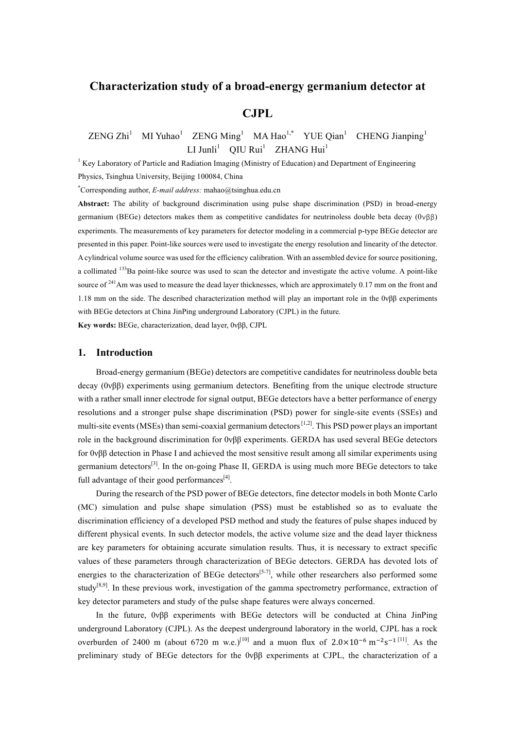# **Characterization study of a broad-energy germanium detector at**

## **CJPL**

#### $ZENG Zhi<sup>1</sup>$ MI Yuhao<sup>1</sup> ZENG Ming<sup>1</sup> MA Hao<sup>1,\*</sup> YUE Qian<sup>1</sup> CHENG Jianping<sup>1</sup>  $LI$  Junli<sup>1</sup> QIU Rui<sup>1</sup> ZHANG Hui<sup>1</sup>

 $1$  Key Laboratory of Particle and Radiation Imaging (Ministry of Education) and Department of Engineering Physics, Tsinghua University, Beijing 100084, China

\* Corresponding author, *E-mail address:* mahao@tsinghua.edu.cn

**Abstract:** The ability of background discrimination using pulse shape discrimination (PSD) in broad-energy germanium (BEGe) detectors makes them as competitive candidates for neutrinoless double beta decay (0νββ) experiments. The measurements of key parameters for detector modeling in a commercial p-type BEGe detector are presented in this paper. Point-like sources were used to investigate the energy resolution and linearity of the detector. A cylindrical volume source was used for the efficiency calibration. With an assembled device for source positioning, a collimated <sup>133</sup>Ba point-like source was used to scan the detector and investigate the active volume. A point-like source of <sup>241</sup>Am was used to measure the dead layer thicknesses, which are approximately 0.17 mm on the front and 1.18 mm on the side. The described characterization method will play an important role in the 0νββ experiments with BEGe detectors at China JinPing underground Laboratory (CJPL) in the future.

**Key words:** BEGe, characterization, dead layer, 0νββ, CJPL

#### **1. Introduction**

Broad-energy germanium (BEGe) detectors are competitive candidates for neutrinoless double beta decay (0νββ) experiments using germanium detectors. Benefiting from the unique electrode structure with a rather small inner electrode for signal output, BEGe detectors have a better performance of energy resolutions and a stronger pulse shape discrimination (PSD) power for single-site events (SSEs) and multi-site events (MSEs) than semi-coaxial germanium detectors<sup>[1,2]</sup>. This PSD power plays an important role in the background discrimination for 0νββ experiments. GERDA has used several BEGe detectors for 0νββ detection in Phase I and achieved the most sensitive result among all similar experiments using germanium detectors<sup>[3]</sup>. In the on-going Phase II, GERDA is using much more BEGe detectors to take full advantage of their good performances<sup>[4]</sup>.

During the research of the PSD power of BEGe detectors, fine detector models in both Monte Carlo (MC) simulation and pulse shape simulation (PSS) must be established so as to evaluate the discrimination efficiency of a developed PSD method and study the features of pulse shapes induced by different physical events. In such detector models, the active volume size and the dead layer thickness are key parameters for obtaining accurate simulation results. Thus, it is necessary to extract specific values of these parameters through characterization of BEGe detectors. GERDA has devoted lots of energies to the characterization of BEGe detectors<sup>[5-7]</sup>, while other researchers also performed some study<sup>[8,9]</sup>. In these previous work, investigation of the gamma spectrometry performance, extraction of key detector parameters and study of the pulse shape features were always concerned.

In the future, 0νββ experiments with BEGe detectors will be conducted at China JinPing underground Laboratory (CJPL). As the deepest underground laboratory in the world, CJPL has a rock overburden of 2400 m (about 6720 m w.e.)<sup>[10]</sup> and a muon flux of  $2.0 \times 10^{-6}$  m<sup>-2</sup>s<sup>-1[11]</sup>. As the preliminary study of BEGe detectors for the 0νββ experiments at CJPL, the characterization of a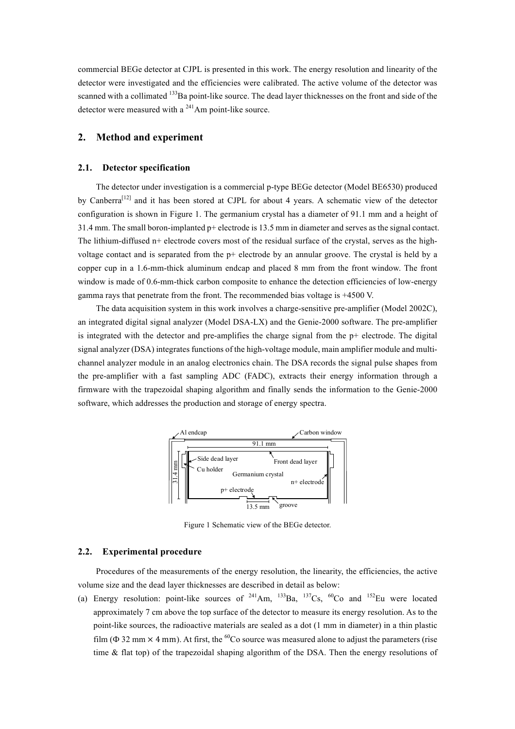commercial BEGe detector at CJPL is presented in this work. The energy resolution and linearity of the detector were investigated and the efficiencies were calibrated. The active volume of the detector was scanned with a collimated <sup>133</sup>Ba point-like source. The dead layer thicknesses on the front and side of the detector were measured with a 241Am point-like source.

## **2. Method and experiment**

#### **2.1. Detector specification**

The detector under investigation is a commercial p-type BEGe detector (Model BE6530) produced by Canberra<sup>[12]</sup> and it has been stored at CJPL for about 4 years. A schematic view of the detector configuration is shown in Figure 1. The germanium crystal has a diameter of 91.1 mm and a height of 31.4 mm. The small boron-implanted p+ electrode is 13.5 mm in diameter and serves as the signal contact. The lithium-diffused n+ electrode covers most of the residual surface of the crystal, serves as the highvoltage contact and is separated from the p+ electrode by an annular groove. The crystal is held by a copper cup in a 1.6-mm-thick aluminum endcap and placed 8 mm from the front window. The front window is made of 0.6-mm-thick carbon composite to enhance the detection efficiencies of low-energy gamma rays that penetrate from the front. The recommended bias voltage is +4500 V.

The data acquisition system in this work involves a charge-sensitive pre-amplifier (Model 2002C), an integrated digital signal analyzer (Model DSA-LX) and the Genie-2000 software. The pre-amplifier is integrated with the detector and pre-amplifies the charge signal from the  $p+$  electrode. The digital signal analyzer (DSA) integrates functions of the high-voltage module, main amplifier module and multichannel analyzer module in an analog electronics chain. The DSA records the signal pulse shapes from the pre-amplifier with a fast sampling ADC (FADC), extracts their energy information through a firmware with the trapezoidal shaping algorithm and finally sends the information to the Genie-2000 software, which addresses the production and storage of energy spectra.



Figure 1 Schematic view of the BEGe detector.

#### **2.2. Experimental procedure**

Procedures of the measurements of the energy resolution, the linearity, the efficiencies, the active volume size and the dead layer thicknesses are described in detail as below:

(a) Energy resolution: point-like sources of  $^{241}$ Am,  $^{133}$ Ba,  $^{137}$ Cs,  $^{60}$ Co and  $^{152}$ Eu were located approximately 7 cm above the top surface of the detector to measure its energy resolution. As to the point-like sources, the radioactive materials are sealed as a dot (1 mm in diameter) in a thin plastic film ( $\Phi$  32 mm  $\times$  4 mm). At first, the <sup>60</sup>Co source was measured alone to adjust the parameters (rise time & flat top) of the trapezoidal shaping algorithm of the DSA. Then the energy resolutions of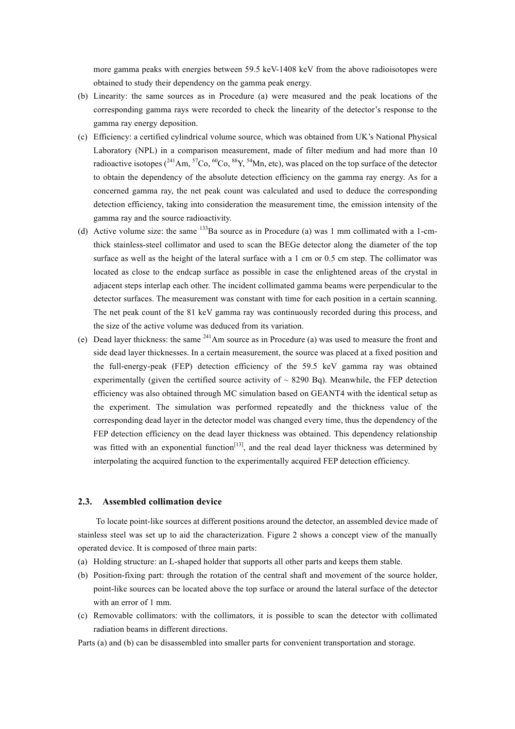more gamma peaks with energies between 59.5 keV-1408 keV from the above radioisotopes were obtained to study their dependency on the gamma peak energy.

- (b) Linearity: the same sources as in Procedure (a) were measured and the peak locations of the corresponding gamma rays were recorded to check the linearity of the detector's response to the gamma ray energy deposition.
- (c) Efficiency: a certified cylindrical volume source, which was obtained from UK's National Physical Laboratory (NPL) in a comparison measurement, made of filter medium and had more than 10 radioactive isotopes ( $^{241}$ Am,  $^{57}$ Co,  $^{60}$ Co,  $^{88}$ Y,  $^{54}$ Mn, etc), was placed on the top surface of the detector to obtain the dependency of the absolute detection efficiency on the gamma ray energy. As for a concerned gamma ray, the net peak count was calculated and used to deduce the corresponding detection efficiency, taking into consideration the measurement time, the emission intensity of the gamma ray and the source radioactivity.
- (d) Active volume size: the same  $^{133}$ Ba source as in Procedure (a) was 1 mm collimated with a 1-cmthick stainless-steel collimator and used to scan the BEGe detector along the diameter of the top surface as well as the height of the lateral surface with a 1 cm or 0.5 cm step. The collimator was located as close to the endcap surface as possible in case the enlightened areas of the crystal in adjacent steps interlap each other. The incident collimated gamma beams were perpendicular to the detector surfaces. The measurement was constant with time for each position in a certain scanning. The net peak count of the 81 keV gamma ray was continuously recorded during this process, and the size of the active volume was deduced from its variation.
- (e) Dead layer thickness: the same 241Am source as in Procedure (a) was used to measure the front and side dead layer thicknesses. In a certain measurement, the source was placed at a fixed position and the full-energy-peak (FEP) detection efficiency of the 59.5 keV gamma ray was obtained experimentally (given the certified source activity of  $\sim$  8290 Bq). Meanwhile, the FEP detection efficiency was also obtained through MC simulation based on GEANT4 with the identical setup as the experiment. The simulation was performed repeatedly and the thickness value of the corresponding dead layer in the detector model was changed every time, thus the dependency of the FEP detection efficiency on the dead layer thickness was obtained. This dependency relationship was fitted with an exponential function<sup>[13]</sup>, and the real dead layer thickness was determined by interpolating the acquired function to the experimentally acquired FEP detection efficiency.

#### **2.3. Assembled collimation device**

To locate point-like sources at different positions around the detector, an assembled device made of stainless steel was set up to aid the characterization. Figure 2 shows a concept view of the manually operated device. It is composed of three main parts:

- (a) Holding structure: an L-shaped holder that supports all other parts and keeps them stable.
- (b) Position-fixing part: through the rotation of the central shaft and movement of the source holder, point-like sources can be located above the top surface or around the lateral surface of the detector with an error of 1 mm.
- (c) Removable collimators: with the collimators, it is possible to scan the detector with collimated radiation beams in different directions.

Parts (a) and (b) can be disassembled into smaller parts for convenient transportation and storage.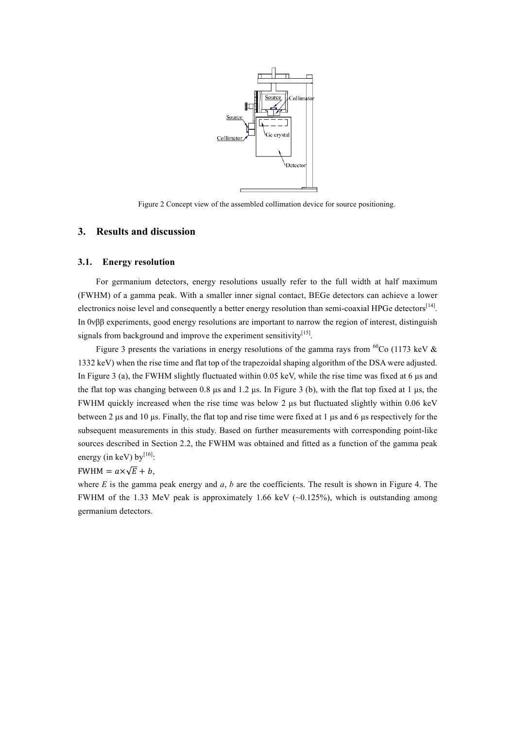

Figure 2 Concept view of the assembled collimation device for source positioning.

## **3. Results and discussion**

#### **3.1. Energy resolution**

For germanium detectors, energy resolutions usually refer to the full width at half maximum (FWHM) of a gamma peak. With a smaller inner signal contact, BEGe detectors can achieve a lower electronics noise level and consequently a better energy resolution than semi-coaxial HPGe detectors<sup>[14]</sup>. In 0νββ experiments, good energy resolutions are important to narrow the region of interest, distinguish signals from background and improve the experiment sensitivity  $[15]$ .

Figure 3 presents the variations in energy resolutions of the gamma rays from  ${}^{60}Co$  (1173 keV  $&$ 1332 keV) when the rise time and flat top of the trapezoidal shaping algorithm of the DSA were adjusted. In Figure 3 (a), the FWHM slightly fluctuated within  $0.05 \text{ keV}$ , while the rise time was fixed at 6 us and the flat top was changing between 0.8  $\mu$ s and 1.2  $\mu$ s. In Figure 3 (b), with the flat top fixed at 1  $\mu$ s, the FWHM quickly increased when the rise time was below 2 µs but fluctuated slightly within 0.06 keV between 2 µs and 10 µs. Finally, the flat top and rise time were fixed at 1 µs and 6 µs respectively for the subsequent measurements in this study. Based on further measurements with corresponding point-like sources described in Section 2.2, the FWHM was obtained and fitted as a function of the gamma peak energy (in keV) by $^{[16]}$ :

## FWHM =  $a \times \sqrt{E} + b$ .

where  $E$  is the gamma peak energy and  $a$ ,  $b$  are the coefficients. The result is shown in Figure 4. The FWHM of the 1.33 MeV peak is approximately 1.66 keV  $(-0.125\%)$ , which is outstanding among germanium detectors.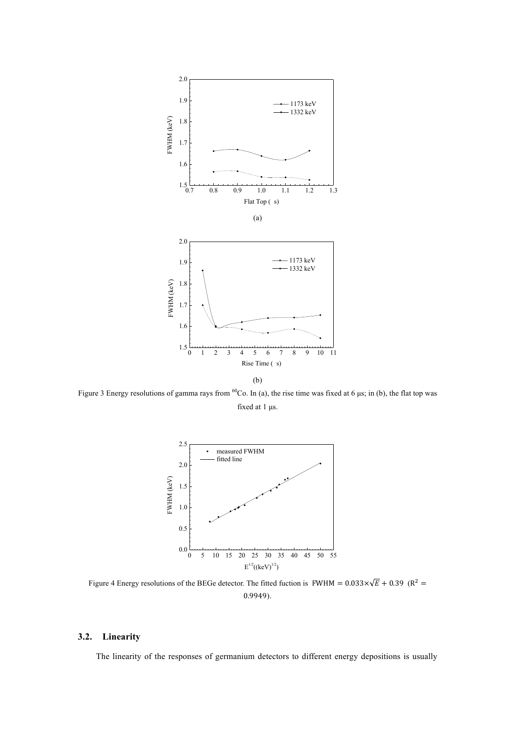

Figure 3 Energy resolutions of gamma rays from  ${}^{60}Co$ . In (a), the rise time was fixed at 6 µs; in (b), the flat top was fixed at 1 µs.



Figure 4 Energy resolutions of the BEGe detector. The fitted fuction is FWHM =  $0.033 \times \sqrt{E} + 0.39$  (R<sup>2</sup> = 0.9949).

## **3.2. Linearity**

The linearity of the responses of germanium detectors to different energy depositions is usually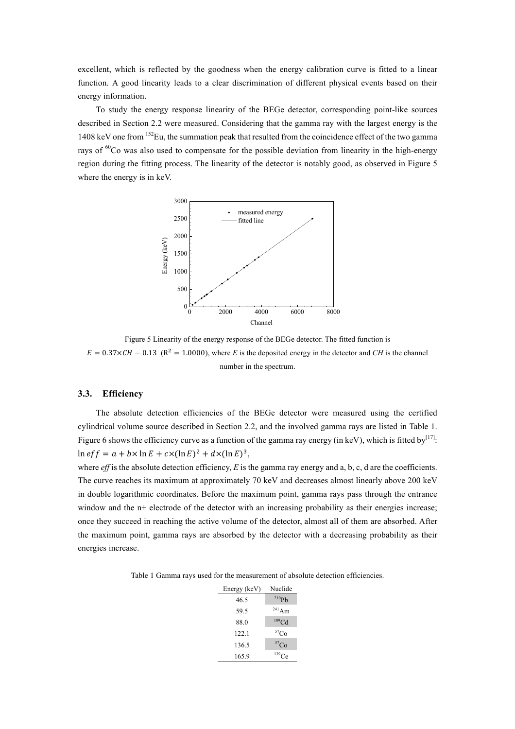excellent, which is reflected by the goodness when the energy calibration curve is fitted to a linear function. A good linearity leads to a clear discrimination of different physical events based on their energy information.

To study the energy response linearity of the BEGe detector, corresponding point-like sources described in Section 2.2 were measured. Considering that the gamma ray with the largest energy is the 1408 keV one from <sup>152</sup>Eu, the summation peak that resulted from the coincidence effect of the two gamma rays of  ${}^{60}$ Co was also used to compensate for the possible deviation from linearity in the high-energy region during the fitting process. The linearity of the detector is notably good, as observed in Figure 5 where the energy is in keV.



Figure 5 Linearity of the energy response of the BEGe detector. The fitted function is  $E = 0.37 \times CH - 0.13$  (R<sup>2</sup> = 1.0000), where *E* is the deposited energy in the detector and *CH* is the channel number in the spectrum.

#### **3.3. Efficiency**

The absolute detection efficiencies of the BEGe detector were measured using the certified cylindrical volume source described in Section 2.2, and the involved gamma rays are listed in Table 1. Figure 6 shows the efficiency curve as a function of the gamma ray energy (in keV), which is fitted by  $[17]$ .  $\ln e f f = a + b \times \ln E + c \times (\ln E)^2 + d \times (\ln E)^3,$ 

where *eff* is the absolute detection efficiency, *E* is the gamma ray energy and a, b, c, d are the coefficients. The curve reaches its maximum at approximately 70 keV and decreases almost linearly above 200 keV in double logarithmic coordinates. Before the maximum point, gamma rays pass through the entrance window and the n+ electrode of the detector with an increasing probability as their energies increase; once they succeed in reaching the active volume of the detector, almost all of them are absorbed. After the maximum point, gamma rays are absorbed by the detector with a decreasing probability as their energies increase.

Table 1 Gamma rays used for the measurement of absolute detection efficiencies.

| Energy (keV) | Nuclide           |
|--------------|-------------------|
| 46.5         | $^{210}Pb$        |
| 59.5         | $241$ Am          |
| 88.0         | 109 <sub>Cd</sub> |
| 122.1        | ${}^{57}Co$       |
| 136.5        | $^{57}Co$         |
| 165.9        | $139$ Ce          |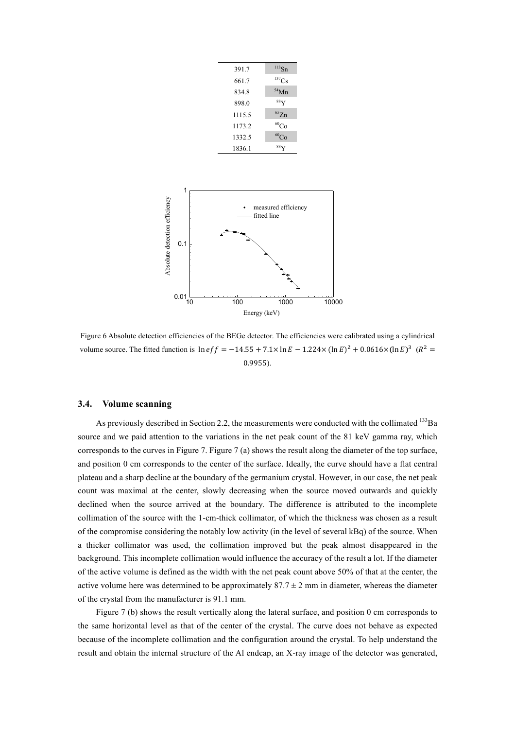| 391.7  | $113$ Sn        |
|--------|-----------------|
| 661.7  | $^{137}Cs$      |
| 834.8  | $54$ Mn         |
| 898.0  | $88$ Y          |
| 1115.5 | $^{65}Zn$       |
| 1173.2 | ${}^{60}Co$     |
| 1332.5 | ${}^{60}Co$     |
| 1836.1 | 88 <sub>V</sub> |



Figure 6 Absolute detection efficiencies of the BEGe detector. The efficiencies were calibrated using a cylindrical volume source. The fitted function is  $\ln e f f = -14.55 + 7.1 \times \ln E - 1.224 \times (\ln E)^2 + 0.0616 \times (\ln E)^3$   $(R^2 =$ 0.9955).

#### **3.4. Volume scanning**

As previously described in Section 2.2, the measurements were conducted with the collimated  $^{133}Ba$ source and we paid attention to the variations in the net peak count of the 81 keV gamma ray, which corresponds to the curves in Figure 7. Figure 7 (a) shows the result along the diameter of the top surface, and position 0 cm corresponds to the center of the surface. Ideally, the curve should have a flat central plateau and a sharp decline at the boundary of the germanium crystal. However, in our case, the net peak count was maximal at the center, slowly decreasing when the source moved outwards and quickly declined when the source arrived at the boundary. The difference is attributed to the incomplete collimation of the source with the 1-cm-thick collimator, of which the thickness was chosen as a result of the compromise considering the notably low activity (in the level of several kBq) of the source. When a thicker collimator was used, the collimation improved but the peak almost disappeared in the background. This incomplete collimation would influence the accuracy of the result a lot. If the diameter of the active volume is defined as the width with the net peak count above 50% of that at the center, the active volume here was determined to be approximately  $87.7 \pm 2$  mm in diameter, whereas the diameter of the crystal from the manufacturer is 91.1 mm.

Figure 7 (b) shows the result vertically along the lateral surface, and position 0 cm corresponds to the same horizontal level as that of the center of the crystal. The curve does not behave as expected because of the incomplete collimation and the configuration around the crystal. To help understand the result and obtain the internal structure of the Al endcap, an X-ray image of the detector was generated,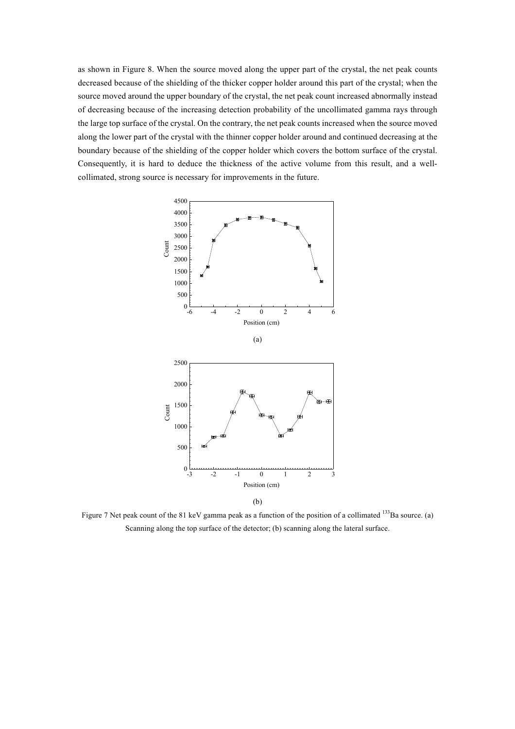as shown in Figure 8. When the source moved along the upper part of the crystal, the net peak counts decreased because of the shielding of the thicker copper holder around this part of the crystal; when the source moved around the upper boundary of the crystal, the net peak count increased abnormally instead of decreasing because of the increasing detection probability of the uncollimated gamma rays through the large top surface of the crystal. On the contrary, the net peak counts increased when the source moved along the lower part of the crystal with the thinner copper holder around and continued decreasing at the boundary because of the shielding of the copper holder which covers the bottom surface of the crystal. Consequently, it is hard to deduce the thickness of the active volume from this result, and a wellcollimated, strong source is necessary for improvements in the future.



(b)

Figure 7 Net peak count of the 81 keV gamma peak as a function of the position of a collimated <sup>133</sup>Ba source. (a) Scanning along the top surface of the detector; (b) scanning along the lateral surface.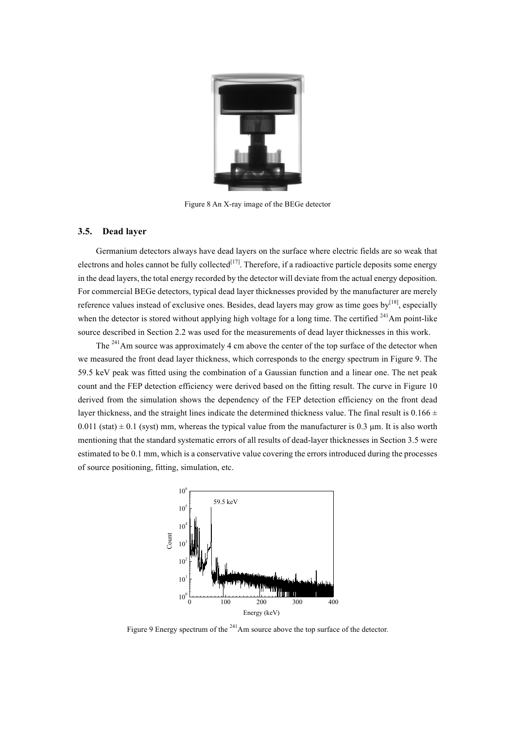

Figure 8 An X-ray image of the BEGe detector

### **3.5. Dead layer**

Germanium detectors always have dead layers on the surface where electric fields are so weak that electrons and holes cannot be fully collected<sup>[17]</sup>. Therefore, if a radioactive particle deposits some energy in the dead layers, the total energy recorded by the detector will deviate from the actual energy deposition. For commercial BEGe detectors, typical dead layer thicknesses provided by the manufacturer are merely reference values instead of exclusive ones. Besides, dead layers may grow as time goes by $[18]$ , especially when the detector is stored without applying high voltage for a long time. The certified  $^{241}$ Am point-like source described in Section 2.2 was used for the measurements of dead layer thicknesses in this work.

The <sup>241</sup>Am source was approximately 4 cm above the center of the top surface of the detector when we measured the front dead layer thickness, which corresponds to the energy spectrum in Figure 9. The 59.5 keV peak was fitted using the combination of a Gaussian function and a linear one. The net peak count and the FEP detection efficiency were derived based on the fitting result. The curve in Figure 10 derived from the simulation shows the dependency of the FEP detection efficiency on the front dead layer thickness, and the straight lines indicate the determined thickness value. The final result is  $0.166 \pm$ 0.011 (stat)  $\pm$  0.1 (syst) mm, whereas the typical value from the manufacturer is 0.3  $\mu$ m. It is also worth mentioning that the standard systematic errors of all results of dead-layer thicknesses in Section 3.5 were estimated to be 0.1 mm, which is a conservative value covering the errors introduced during the processes of source positioning, fitting, simulation, etc.



Figure 9 Energy spectrum of the <sup>241</sup>Am source above the top surface of the detector.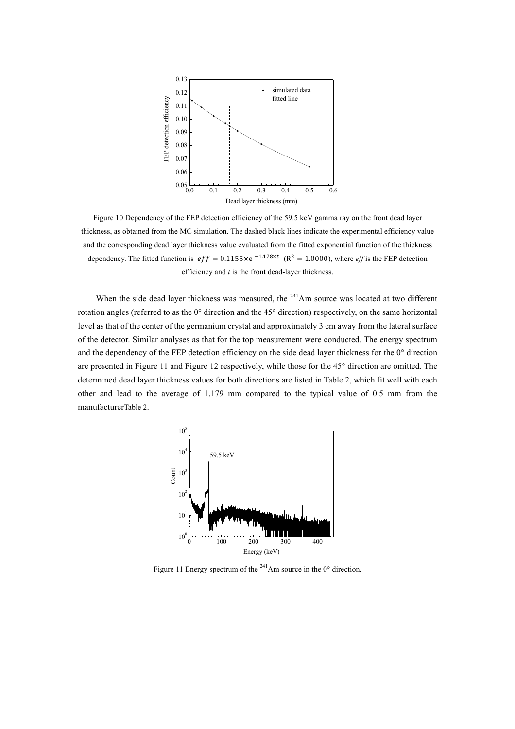

Figure 10 Dependency of the FEP detection efficiency of the 59.5 keV gamma ray on the front dead layer thickness, as obtained from the MC simulation. The dashed black lines indicate the experimental efficiency value and the corresponding dead layer thickness value evaluated from the fitted exponential function of the thickness dependency. The fitted function is  $eff = 0.1155 \times e^{-1.178 \times t}$  ( $R^2 = 1.0000$ ), where *eff* is the FEP detection efficiency and *t* is the front dead-layer thickness.

When the side dead layer thickness was measured, the  $^{241}$ Am source was located at two different rotation angles (referred to as the 0° direction and the 45° direction) respectively, on the same horizontal level as that of the center of the germanium crystal and approximately 3 cm away from the lateral surface of the detector. Similar analyses as that for the top measurement were conducted. The energy spectrum and the dependency of the FEP detection efficiency on the side dead layer thickness for the 0° direction are presented in Figure 11 and Figure 12 respectively, while those for the 45° direction are omitted. The determined dead layer thickness values for both directions are listed in Table 2, which fit well with each other and lead to the average of 1.179 mm compared to the typical value of 0.5 mm from the manufacturerTable 2.



Figure 11 Energy spectrum of the  $^{241}$ Am source in the 0 $^{\circ}$  direction.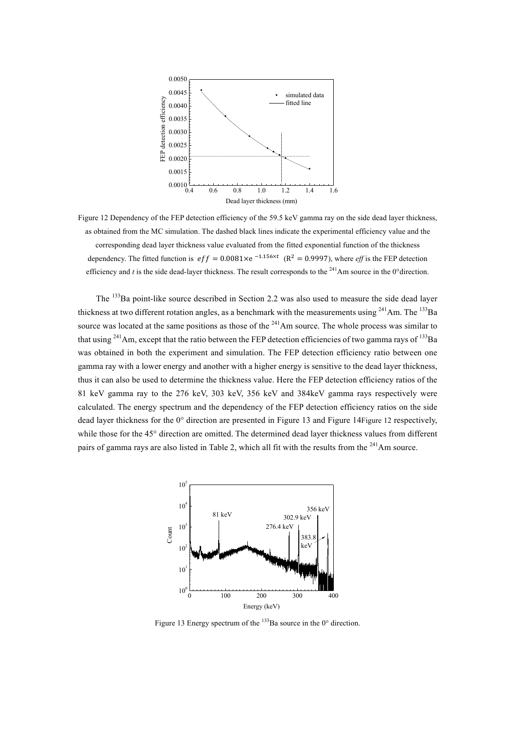

Figure 12 Dependency of the FEP detection efficiency of the 59.5 keV gamma ray on the side dead layer thickness, as obtained from the MC simulation. The dashed black lines indicate the experimental efficiency value and the corresponding dead layer thickness value evaluated from the fitted exponential function of the thickness dependency. The fitted function is  $eff = 0.0081 \times e^{-1.156 \times t}$  ( $R^2 = 0.9997$ ), where *eff* is the FEP detection efficiency and *t* is the side dead-layer thickness. The result corresponds to the  $^{241}$ Am source in the 0°direction.

The <sup>133</sup>Ba point-like source described in Section 2.2 was also used to measure the side dead layer thickness at two different rotation angles, as a benchmark with the measurements using  $241$ Am. The  $133$ Ba source was located at the same positions as those of the <sup>241</sup>Am source. The whole process was similar to that using  $^{241}$ Am, except that the ratio between the FEP detection efficiencies of two gamma rays of  $^{133}$ Ba was obtained in both the experiment and simulation. The FEP detection efficiency ratio between one gamma ray with a lower energy and another with a higher energy is sensitive to the dead layer thickness, thus it can also be used to determine the thickness value. Here the FEP detection efficiency ratios of the 81 keV gamma ray to the 276 keV, 303 keV, 356 keV and 384keV gamma rays respectively were calculated. The energy spectrum and the dependency of the FEP detection efficiency ratios on the side dead layer thickness for the 0° direction are presented in Figure 13 and Figure 14Figure 12 respectively, while those for the 45° direction are omitted. The determined dead layer thickness values from different pairs of gamma rays are also listed in Table 2, which all fit with the results from the  $^{241}$ Am source.



Figure 13 Energy spectrum of the  $133$ Ba source in the 0 $\degree$  direction.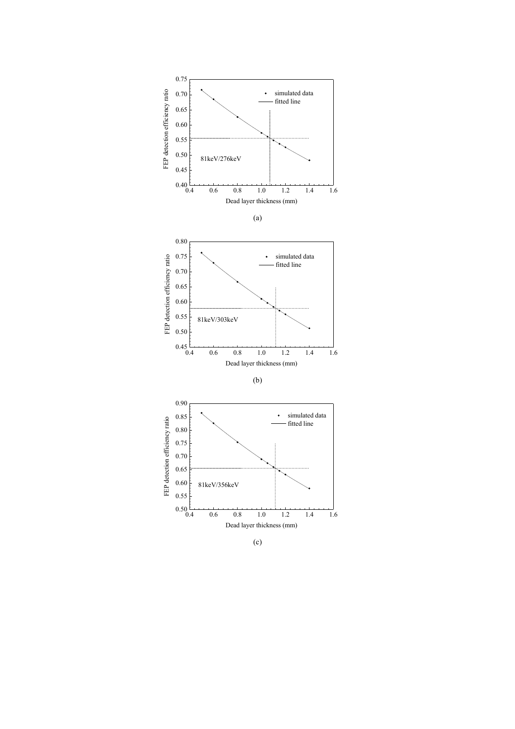



(c)

Dead layer thickness (mm)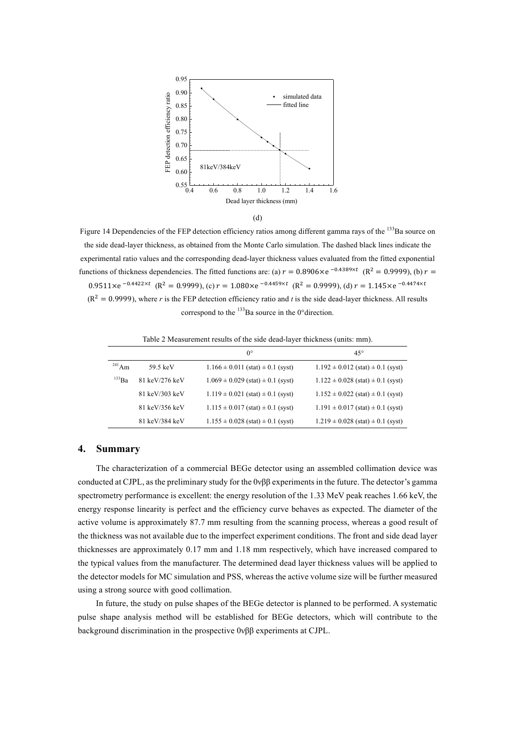

(d)

Figure 14 Dependencies of the FEP detection efficiency ratios among different gamma rays of the <sup>133</sup>Ba source on the side dead-layer thickness, as obtained from the Monte Carlo simulation. The dashed black lines indicate the experimental ratio values and the corresponding dead-layer thickness values evaluated from the fitted exponential functions of thickness dependencies. The fitted functions are: (a)  $r = 0.8906 \times e^{-0.4389 \times t}$  (R<sup>2</sup> = 0.9999), (b)  $r =$  $0.9511\times e^{-0.4422\times t}$  (R<sup>2</sup> = 0.9999), (c)  $r = 1.080\times e^{-0.4459\times t}$  (R<sup>2</sup> = 0.9999), (d)  $r = 1.145\times e^{-0.4474\times t}$  $(R<sup>2</sup> = 0.9999)$ , where *r* is the FEP detection efficiency ratio and *t* is the side dead-layer thickness. All results correspond to the  $^{133}$ Ba source in the 0°direction.

| Table 2 Measurement results of the side dead-layer thickness (units. $min$ ). |                |                                           |                                           |  |
|-------------------------------------------------------------------------------|----------------|-------------------------------------------|-------------------------------------------|--|
|                                                                               |                | $0^{\circ}$                               | $45^{\circ}$                              |  |
| $^{241}$ Am                                                                   | 59.5 keV       | $1.166 \pm 0.011$ (stat) $\pm 0.1$ (syst) | $1.192 \pm 0.012$ (stat) $\pm 0.1$ (syst) |  |
| $^{133}Ba$                                                                    | 81 keV/276 keV | $1.069 \pm 0.029$ (stat) $\pm 0.1$ (syst) | $1.122 \pm 0.028$ (stat) $\pm 0.1$ (syst) |  |
|                                                                               | 81 keV/303 keV | $1.119 \pm 0.021$ (stat) $\pm 0.1$ (syst) | $1.152 \pm 0.022$ (stat) $\pm 0.1$ (syst) |  |
|                                                                               | 81 keV/356 keV | $1.115 \pm 0.017$ (stat) $\pm 0.1$ (syst) | $1.191 \pm 0.017$ (stat) $\pm 0.1$ (syst) |  |
|                                                                               | 81 keV/384 keV | $1.155 \pm 0.028$ (stat) $\pm 0.1$ (syst) | $1.219 \pm 0.028$ (stat) $\pm 0.1$ (syst) |  |

ment results of the side dead-layer thickness (units:

#### **4. Summary**

The characterization of a commercial BEGe detector using an assembled collimation device was conducted at CJPL, as the preliminary study for the 0νββ experiments in the future. The detector's gamma spectrometry performance is excellent: the energy resolution of the 1.33 MeV peak reaches 1.66 keV, the energy response linearity is perfect and the efficiency curve behaves as expected. The diameter of the active volume is approximately 87.7 mm resulting from the scanning process, whereas a good result of the thickness was not available due to the imperfect experiment conditions. The front and side dead layer thicknesses are approximately 0.17 mm and 1.18 mm respectively, which have increased compared to the typical values from the manufacturer. The determined dead layer thickness values will be applied to the detector models for MC simulation and PSS, whereas the active volume size will be further measured using a strong source with good collimation.

In future, the study on pulse shapes of the BEGe detector is planned to be performed. A systematic pulse shape analysis method will be established for BEGe detectors, which will contribute to the background discrimination in the prospective 0νββ experiments at CJPL.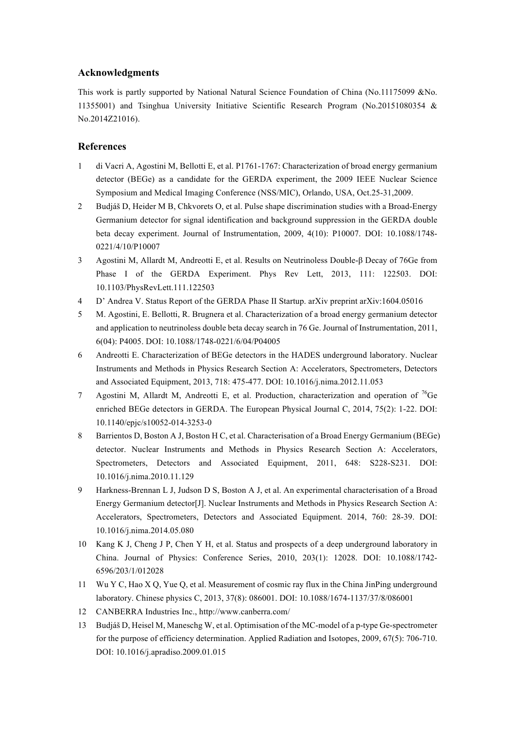## **Acknowledgments**

This work is partly supported by National Natural Science Foundation of China (No.11175099 &No. 11355001) and Tsinghua University Initiative Scientific Research Program (No.20151080354 & No.2014Z21016).

## **References**

- 1 di Vacri A, Agostini M, Bellotti E, et al. P1761-1767: Characterization of broad energy germanium detector (BEGe) as a candidate for the GERDA experiment, the 2009 IEEE Nuclear Science Symposium and Medical Imaging Conference (NSS/MIC), Orlando, USA, Oct.25-31,2009.
- 2 Budjáš D, Heider M B, Chkvorets O, et al. Pulse shape discrimination studies with a Broad-Energy Germanium detector for signal identification and background suppression in the GERDA double beta decay experiment. Journal of Instrumentation, 2009, 4(10): P10007. DOI: 10.1088/1748- 0221/4/10/P10007
- 3 Agostini M, Allardt M, Andreotti E, et al. Results on Neutrinoless Double-β Decay of 76Ge from Phase I of the GERDA Experiment. Phys Rev Lett, 2013, 111: 122503. DOI: 10.1103/PhysRevLett.111.122503
- 4 D' Andrea V. Status Report of the GERDA Phase II Startup. arXiv preprint arXiv:1604.05016
- 5 M. Agostini, E. Bellotti, R. Brugnera et al. Characterization of a broad energy germanium detector and application to neutrinoless double beta decay search in 76 Ge. Journal of Instrumentation, 2011, 6(04): P4005. DOI: 10.1088/1748-0221/6/04/P04005
- 6 Andreotti E. Characterization of BEGe detectors in the HADES underground laboratory. Nuclear Instruments and Methods in Physics Research Section A: Accelerators, Spectrometers, Detectors and Associated Equipment, 2013, 718: 475-477. DOI: 10.1016/j.nima.2012.11.053
- 7 Agostini M, Allardt M, Andreotti E, et al. Production, characterization and operation of  $^{76}$ Ge enriched BEGe detectors in GERDA. The European Physical Journal C, 2014, 75(2): 1-22. DOI: 10.1140/epjc/s10052-014-3253-0
- 8 Barrientos D, Boston A J, Boston H C, et al. Characterisation of a Broad Energy Germanium (BEGe) detector. Nuclear Instruments and Methods in Physics Research Section A: Accelerators, Spectrometers, Detectors and Associated Equipment, 2011, 648: S228-S231. DOI: 10.1016/j.nima.2010.11.129
- 9 Harkness-Brennan L J, Judson D S, Boston A J, et al. An experimental characterisation of a Broad Energy Germanium detector[J]. Nuclear Instruments and Methods in Physics Research Section A: Accelerators, Spectrometers, Detectors and Associated Equipment. 2014, 760: 28-39. DOI: 10.1016/j.nima.2014.05.080
- 10 Kang K J, Cheng J P, Chen Y H, et al. Status and prospects of a deep underground laboratory in China. Journal of Physics: Conference Series, 2010, 203(1): 12028. DOI: 10.1088/1742- 6596/203/1/012028
- 11 Wu Y C, Hao X Q, Yue Q, et al. Measurement of cosmic ray flux in the China JinPing underground laboratory. Chinese physics C, 2013, 37(8): 086001. DOI: 10.1088/1674-1137/37/8/086001
- 12 CANBERRA Industries Inc., http://www.canberra.com/
- 13 Budjáš D, Heisel M, Maneschg W, et al. Optimisation of the MC-model of a p-type Ge-spectrometer for the purpose of efficiency determination. Applied Radiation and Isotopes, 2009, 67(5): 706-710. DOI: 10.1016/j.apradiso.2009.01.015